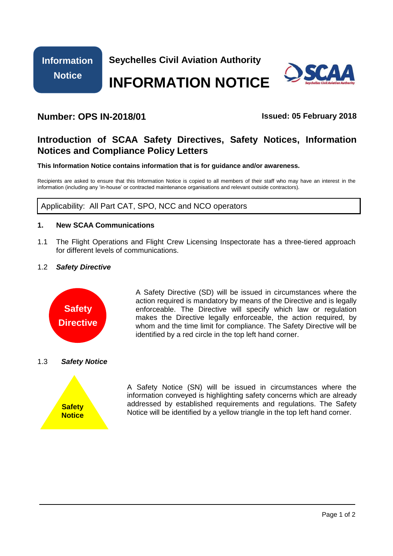

**Seychelles Civil Aviation Authority**

# **INFORMATION NOTICE**



## **Number: OPS IN-2018/01 Issued: 05 February 2018**

## **Introduction of SCAA Safety Directives, Safety Notices, Information Notices and Compliance Policy Letters**

**This Information Notice contains information that is for guidance and/or awareness.** 

Recipients are asked to ensure that this Information Notice is copied to all members of their staff who may have an interest in the information (including any 'in-house' or contracted maintenance organisations and relevant outside contractors).

Applicability: All Part CAT, SPO, NCC and NCO operators

### **1. New SCAA Communications**

1.1 The Flight Operations and Flight Crew Licensing Inspectorate has a three-tiered approach for different levels of communications.

### 1.2 *Safety Directive*



A Safety Directive (SD) will be issued in circumstances where the action required is mandatory by means of the Directive and is legally enforceable. The Directive will specify which law or regulation makes the Directive legally enforceable, the action required, by whom and the time limit for compliance. The Safety Directive will be identified by a red circle in the top left hand corner.

### 1.3 *Safety Notice*



A Safety Notice (SN) will be issued in circumstances where the information conveyed is highlighting safety concerns which are already addressed by established requirements and regulations. The Safety Notice will be identified by a yellow triangle in the top left hand corner.